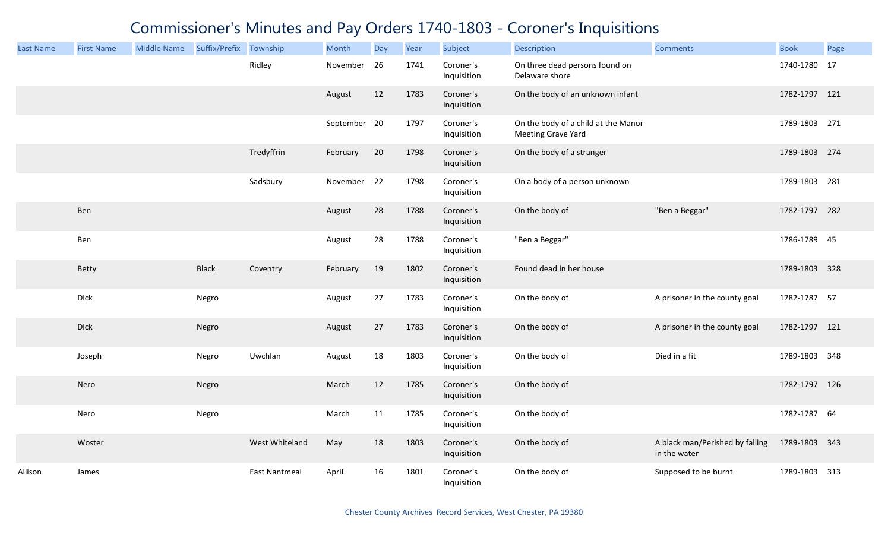| <b>Last Name</b> | <b>First Name</b> | <b>Middle Name</b> | Suffix/Prefix Township |                      | Month        | Day | Year | Subject                  | Description                                                      | <b>Comments</b>                                 | <b>Book</b>   | Page |
|------------------|-------------------|--------------------|------------------------|----------------------|--------------|-----|------|--------------------------|------------------------------------------------------------------|-------------------------------------------------|---------------|------|
|                  |                   |                    |                        | Ridley               | November     | 26  | 1741 | Coroner's<br>Inquisition | On three dead persons found on<br>Delaware shore                 |                                                 | 1740-1780 17  |      |
|                  |                   |                    |                        |                      | August       | 12  | 1783 | Coroner's<br>Inquisition | On the body of an unknown infant                                 |                                                 | 1782-1797 121 |      |
|                  |                   |                    |                        |                      | September 20 |     | 1797 | Coroner's<br>Inquisition | On the body of a child at the Manor<br><b>Meeting Grave Yard</b> |                                                 | 1789-1803 271 |      |
|                  |                   |                    |                        | Tredyffrin           | February     | 20  | 1798 | Coroner's<br>Inquisition | On the body of a stranger                                        |                                                 | 1789-1803 274 |      |
|                  |                   |                    |                        | Sadsbury             | November 22  |     | 1798 | Coroner's<br>Inquisition | On a body of a person unknown                                    |                                                 | 1789-1803 281 |      |
|                  | Ben               |                    |                        |                      | August       | 28  | 1788 | Coroner's<br>Inquisition | On the body of                                                   | "Ben a Beggar"                                  | 1782-1797 282 |      |
|                  | Ben               |                    |                        |                      | August       | 28  | 1788 | Coroner's<br>Inquisition | "Ben a Beggar"                                                   |                                                 | 1786-1789 45  |      |
|                  | Betty             |                    | <b>Black</b>           | Coventry             | February     | 19  | 1802 | Coroner's<br>Inquisition | Found dead in her house                                          |                                                 | 1789-1803 328 |      |
|                  | Dick              |                    | Negro                  |                      | August       | 27  | 1783 | Coroner's<br>Inquisition | On the body of                                                   | A prisoner in the county goal                   | 1782-1787 57  |      |
|                  | Dick              |                    | Negro                  |                      | August       | 27  | 1783 | Coroner's<br>Inquisition | On the body of                                                   | A prisoner in the county goal                   | 1782-1797 121 |      |
|                  | Joseph            |                    | Negro                  | Uwchlan              | August       | 18  | 1803 | Coroner's<br>Inquisition | On the body of                                                   | Died in a fit                                   | 1789-1803 348 |      |
|                  | Nero              |                    | Negro                  |                      | March        | 12  | 1785 | Coroner's<br>Inquisition | On the body of                                                   |                                                 | 1782-1797 126 |      |
|                  | Nero              |                    | Negro                  |                      | March        | 11  | 1785 | Coroner's<br>Inquisition | On the body of                                                   |                                                 | 1782-1787 64  |      |
|                  | Woster            |                    |                        | West Whiteland       | May          | 18  | 1803 | Coroner's<br>Inquisition | On the body of                                                   | A black man/Perished by falling<br>in the water | 1789-1803 343 |      |
| Allison          | James             |                    |                        | <b>East Nantmeal</b> | April        | 16  | 1801 | Coroner's<br>Inquisition | On the body of                                                   | Supposed to be burnt                            | 1789-1803     | 313  |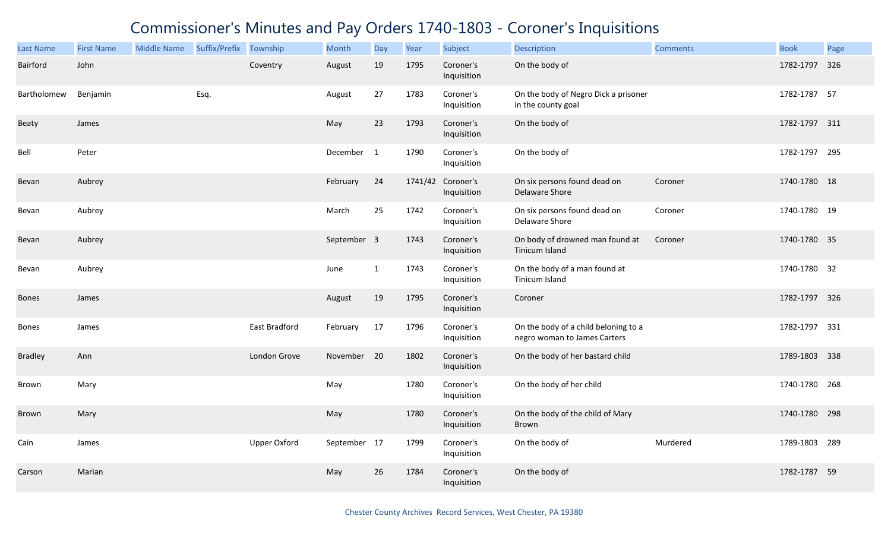| <b>Last Name</b> | <b>First Name</b> | <b>Middle Name</b> | Suffix/Prefix Township |               | Month        | Day          | Year | Subject                          | <b>Description</b>                                                   | <b>Comments</b> | <b>Book</b>   | Page |
|------------------|-------------------|--------------------|------------------------|---------------|--------------|--------------|------|----------------------------------|----------------------------------------------------------------------|-----------------|---------------|------|
| Bairford         | John              |                    |                        | Coventry      | August       | 19           | 1795 | Coroner's<br>Inquisition         | On the body of                                                       |                 | 1782-1797 326 |      |
| Bartholomew      | Benjamin          |                    | Esq.                   |               | August       | 27           | 1783 | Coroner's<br>Inquisition         | On the body of Negro Dick a prisoner<br>in the county goal           |                 | 1782-1787 57  |      |
| Beaty            | James             |                    |                        |               | May          | 23           | 1793 | Coroner's<br>Inquisition         | On the body of                                                       |                 | 1782-1797 311 |      |
| Bell             | Peter             |                    |                        |               | December 1   |              | 1790 | Coroner's<br>Inquisition         | On the body of                                                       |                 | 1782-1797 295 |      |
| Bevan            | Aubrey            |                    |                        |               | February     | 24           |      | 1741/42 Coroner's<br>Inquisition | On six persons found dead on<br>Delaware Shore                       | Coroner         | 1740-1780 18  |      |
| Bevan            | Aubrey            |                    |                        |               | March        | 25           | 1742 | Coroner's<br>Inquisition         | On six persons found dead on<br>Delaware Shore                       | Coroner         | 1740-1780 19  |      |
| Bevan            | Aubrey            |                    |                        |               | September 3  |              | 1743 | Coroner's<br>Inquisition         | On body of drowned man found at<br>Tinicum Island                    | Coroner         | 1740-1780 35  |      |
| Bevan            | Aubrey            |                    |                        |               | June         | $\mathbf{1}$ | 1743 | Coroner's<br>Inquisition         | On the body of a man found at<br>Tinicum Island                      |                 | 1740-1780 32  |      |
| Bones            | James             |                    |                        |               | August       | 19           | 1795 | Coroner's<br>Inquisition         | Coroner                                                              |                 | 1782-1797 326 |      |
| <b>Bones</b>     | James             |                    |                        | East Bradford | February     | 17           | 1796 | Coroner's<br>Inquisition         | On the body of a child beloning to a<br>negro woman to James Carters |                 | 1782-1797 331 |      |
| <b>Bradley</b>   | Ann               |                    |                        | London Grove  | November 20  |              | 1802 | Coroner's<br>Inquisition         | On the body of her bastard child                                     |                 | 1789-1803 338 |      |
| Brown            | Mary              |                    |                        |               | May          |              | 1780 | Coroner's<br>Inquisition         | On the body of her child                                             |                 | 1740-1780 268 |      |
| Brown            | Mary              |                    |                        |               | May          |              | 1780 | Coroner's<br>Inquisition         | On the body of the child of Mary<br>Brown                            |                 | 1740-1780 298 |      |
| Cain             | James             |                    |                        | Upper Oxford  | September 17 |              | 1799 | Coroner's<br>Inquisition         | On the body of                                                       | Murdered        | 1789-1803 289 |      |
| Carson           | Marian            |                    |                        |               | May          | 26           | 1784 | Coroner's<br>Inquisition         | On the body of                                                       |                 | 1782-1787 59  |      |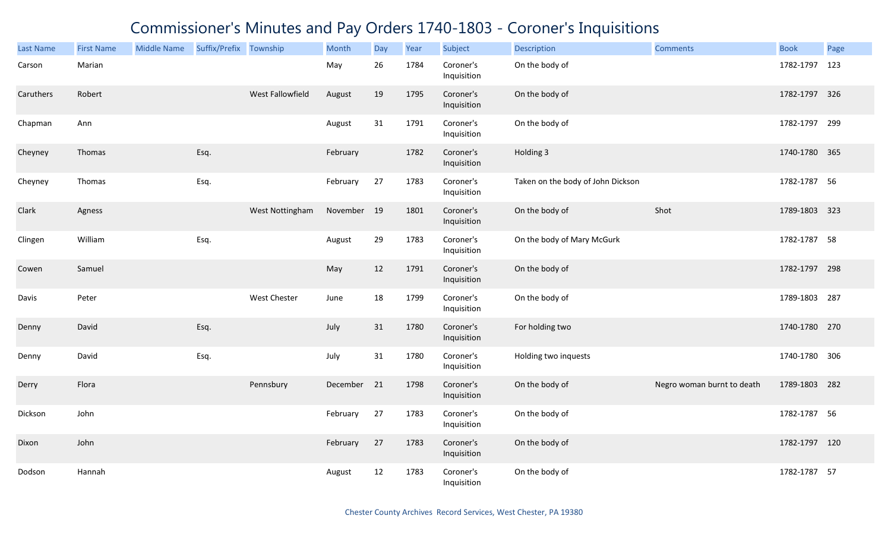| <b>Last Name</b> | <b>First Name</b> | <b>Middle Name</b> | Suffix/Prefix Township |                     | Month       | Day | Year | Subject                  | <b>Description</b>                | <b>Comments</b>            | <b>Book</b>   | Page |
|------------------|-------------------|--------------------|------------------------|---------------------|-------------|-----|------|--------------------------|-----------------------------------|----------------------------|---------------|------|
| Carson           | Marian            |                    |                        |                     | May         | 26  | 1784 | Coroner's<br>Inquisition | On the body of                    |                            | 1782-1797     | 123  |
| Caruthers        | Robert            |                    |                        | West Fallowfield    | August      | 19  | 1795 | Coroner's<br>Inquisition | On the body of                    |                            | 1782-1797 326 |      |
| Chapman          | Ann               |                    |                        |                     | August      | 31  | 1791 | Coroner's<br>Inquisition | On the body of                    |                            | 1782-1797 299 |      |
| Cheyney          | Thomas            |                    | Esq.                   |                     | February    |     | 1782 | Coroner's<br>Inquisition | Holding 3                         |                            | 1740-1780 365 |      |
| Cheyney          | Thomas            |                    | Esq.                   |                     | February    | 27  | 1783 | Coroner's<br>Inquisition | Taken on the body of John Dickson |                            | 1782-1787 56  |      |
| Clark            | Agness            |                    |                        | West Nottingham     | November 19 |     | 1801 | Coroner's<br>Inquisition | On the body of                    | Shot                       | 1789-1803 323 |      |
| Clingen          | William           |                    | Esq.                   |                     | August      | 29  | 1783 | Coroner's<br>Inquisition | On the body of Mary McGurk        |                            | 1782-1787 58  |      |
| Cowen            | Samuel            |                    |                        |                     | May         | 12  | 1791 | Coroner's<br>Inquisition | On the body of                    |                            | 1782-1797 298 |      |
| Davis            | Peter             |                    |                        | <b>West Chester</b> | June        | 18  | 1799 | Coroner's<br>Inquisition | On the body of                    |                            | 1789-1803 287 |      |
| Denny            | David             |                    | Esq.                   |                     | July        | 31  | 1780 | Coroner's<br>Inquisition | For holding two                   |                            | 1740-1780 270 |      |
| Denny            | David             |                    | Esq.                   |                     | July        | 31  | 1780 | Coroner's<br>Inquisition | Holding two inquests              |                            | 1740-1780 306 |      |
| Derry            | Flora             |                    |                        | Pennsbury           | December 21 |     | 1798 | Coroner's<br>Inquisition | On the body of                    | Negro woman burnt to death | 1789-1803 282 |      |
| Dickson          | John              |                    |                        |                     | February    | 27  | 1783 | Coroner's<br>Inquisition | On the body of                    |                            | 1782-1787 56  |      |
| Dixon            | John              |                    |                        |                     | February    | 27  | 1783 | Coroner's<br>Inquisition | On the body of                    |                            | 1782-1797 120 |      |
| Dodson           | Hannah            |                    |                        |                     | August      | 12  | 1783 | Coroner's<br>Inquisition | On the body of                    |                            | 1782-1787 57  |      |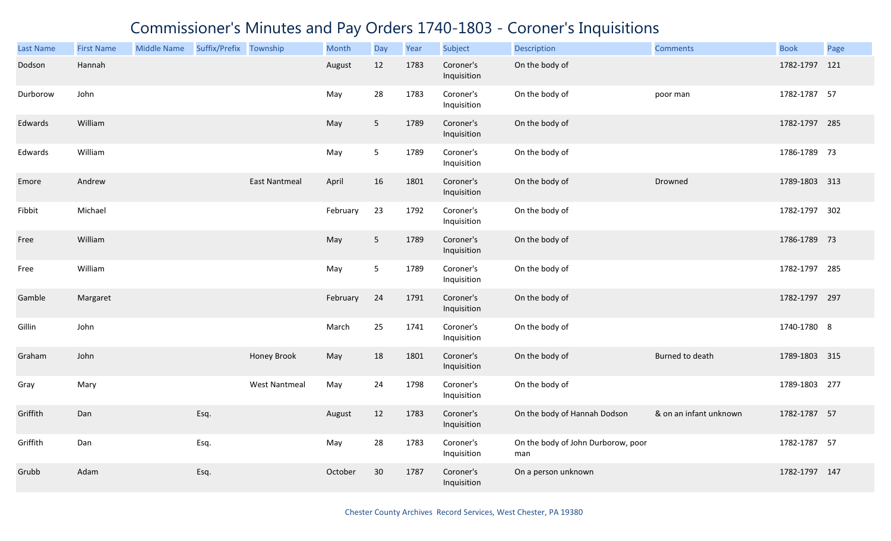| <b>Last Name</b> | <b>First Name</b> | <b>Middle Name</b> | Suffix/Prefix Township |                      | Month    | Day             | Year | Subject                  | <b>Description</b>                        | <b>Comments</b>        | <b>Book</b>   | Page |
|------------------|-------------------|--------------------|------------------------|----------------------|----------|-----------------|------|--------------------------|-------------------------------------------|------------------------|---------------|------|
| Dodson           | Hannah            |                    |                        |                      | August   | 12              | 1783 | Coroner's<br>Inquisition | On the body of                            |                        | 1782-1797 121 |      |
| Durborow         | John              |                    |                        |                      | May      | 28              | 1783 | Coroner's<br>Inquisition | On the body of                            | poor man               | 1782-1787 57  |      |
| Edwards          | William           |                    |                        |                      | May      | 5               | 1789 | Coroner's<br>Inquisition | On the body of                            |                        | 1782-1797 285 |      |
| Edwards          | William           |                    |                        |                      | May      | 5               | 1789 | Coroner's<br>Inquisition | On the body of                            |                        | 1786-1789 73  |      |
| Emore            | Andrew            |                    |                        | <b>East Nantmeal</b> | April    | 16              | 1801 | Coroner's<br>Inquisition | On the body of                            | Drowned                | 1789-1803 313 |      |
| Fibbit           | Michael           |                    |                        |                      | February | 23              | 1792 | Coroner's<br>Inquisition | On the body of                            |                        | 1782-1797 302 |      |
| Free             | William           |                    |                        |                      | May      | $5\phantom{.0}$ | 1789 | Coroner's<br>Inquisition | On the body of                            |                        | 1786-1789 73  |      |
| Free             | William           |                    |                        |                      | May      | 5               | 1789 | Coroner's<br>Inquisition | On the body of                            |                        | 1782-1797 285 |      |
| Gamble           | Margaret          |                    |                        |                      | February | 24              | 1791 | Coroner's<br>Inquisition | On the body of                            |                        | 1782-1797 297 |      |
| Gillin           | John              |                    |                        |                      | March    | 25              | 1741 | Coroner's<br>Inquisition | On the body of                            |                        | 1740-1780 8   |      |
| Graham           | John              |                    |                        | Honey Brook          | May      | 18              | 1801 | Coroner's<br>Inquisition | On the body of                            | Burned to death        | 1789-1803 315 |      |
| Gray             | Mary              |                    |                        | <b>West Nantmeal</b> | May      | 24              | 1798 | Coroner's<br>Inquisition | On the body of                            |                        | 1789-1803 277 |      |
| Griffith         | Dan               |                    | Esq.                   |                      | August   | 12              | 1783 | Coroner's<br>Inquisition | On the body of Hannah Dodson              | & on an infant unknown | 1782-1787 57  |      |
| Griffith         | Dan               |                    | Esq.                   |                      | May      | 28              | 1783 | Coroner's<br>Inquisition | On the body of John Durborow, poor<br>man |                        | 1782-1787 57  |      |
| Grubb            | Adam              |                    | Esq.                   |                      | October  | 30              | 1787 | Coroner's<br>Inquisition | On a person unknown                       |                        | 1782-1797 147 |      |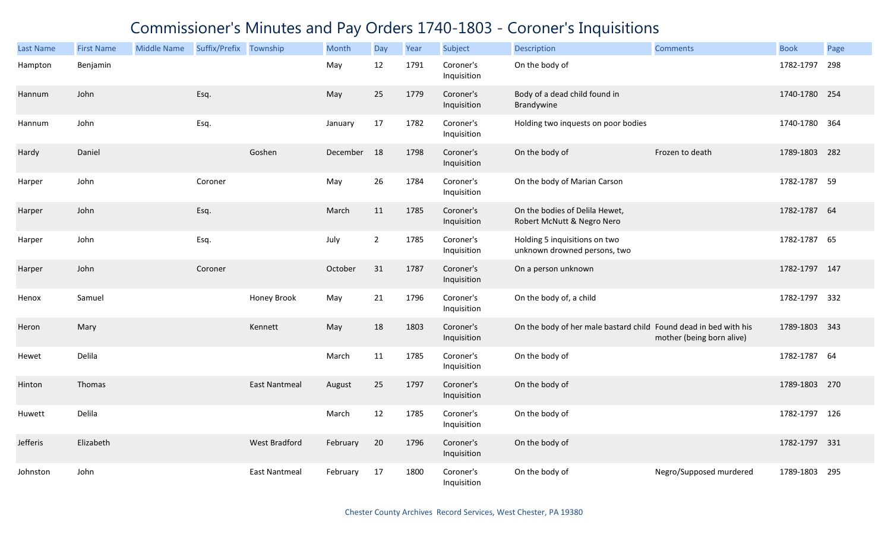| Last Name | <b>First Name</b> | <b>Middle Name</b> | Suffix/Prefix Township |                      | Month    | Day            | Year | Subject                  | <b>Description</b>                                               | <b>Comments</b>           | <b>Book</b>   | Page |
|-----------|-------------------|--------------------|------------------------|----------------------|----------|----------------|------|--------------------------|------------------------------------------------------------------|---------------------------|---------------|------|
| Hampton   | Benjamin          |                    |                        |                      | May      | 12             | 1791 | Coroner's<br>Inquisition | On the body of                                                   |                           | 1782-1797     | 298  |
| Hannum    | John              |                    | Esq.                   |                      | May      | 25             | 1779 | Coroner's<br>Inquisition | Body of a dead child found in<br>Brandywine                      |                           | 1740-1780 254 |      |
| Hannum    | John              |                    | Esq.                   |                      | January  | 17             | 1782 | Coroner's<br>Inquisition | Holding two inquests on poor bodies                              |                           | 1740-1780 364 |      |
| Hardy     | Daniel            |                    |                        | Goshen               | December | 18             | 1798 | Coroner's<br>Inquisition | On the body of                                                   | Frozen to death           | 1789-1803 282 |      |
| Harper    | John              |                    | Coroner                |                      | May      | 26             | 1784 | Coroner's<br>Inquisition | On the body of Marian Carson                                     |                           | 1782-1787 59  |      |
| Harper    | John              |                    | Esq.                   |                      | March    | 11             | 1785 | Coroner's<br>Inquisition | On the bodies of Delila Hewet,<br>Robert McNutt & Negro Nero     |                           | 1782-1787 64  |      |
| Harper    | John              |                    | Esq.                   |                      | July     | $\overline{2}$ | 1785 | Coroner's<br>Inquisition | Holding 5 inquisitions on two<br>unknown drowned persons, two    |                           | 1782-1787 65  |      |
| Harper    | John              |                    | Coroner                |                      | October  | 31             | 1787 | Coroner's<br>Inquisition | On a person unknown                                              |                           | 1782-1797 147 |      |
| Henox     | Samuel            |                    |                        | Honey Brook          | May      | 21             | 1796 | Coroner's<br>Inquisition | On the body of, a child                                          |                           | 1782-1797 332 |      |
| Heron     | Mary              |                    |                        | Kennett              | May      | 18             | 1803 | Coroner's<br>Inquisition | On the body of her male bastard child Found dead in bed with his | mother (being born alive) | 1789-1803 343 |      |
| Hewet     | Delila            |                    |                        |                      | March    | 11             | 1785 | Coroner's<br>Inquisition | On the body of                                                   |                           | 1782-1787 64  |      |
| Hinton    | Thomas            |                    |                        | <b>East Nantmeal</b> | August   | 25             | 1797 | Coroner's<br>Inquisition | On the body of                                                   |                           | 1789-1803 270 |      |
| Huwett    | Delila            |                    |                        |                      | March    | 12             | 1785 | Coroner's<br>Inquisition | On the body of                                                   |                           | 1782-1797 126 |      |
| Jefferis  | Elizabeth         |                    |                        | West Bradford        | February | 20             | 1796 | Coroner's<br>Inquisition | On the body of                                                   |                           | 1782-1797 331 |      |
| Johnston  | John              |                    |                        | <b>East Nantmeal</b> | February | 17             | 1800 | Coroner's<br>Inquisition | On the body of                                                   | Negro/Supposed murdered   | 1789-1803     | 295  |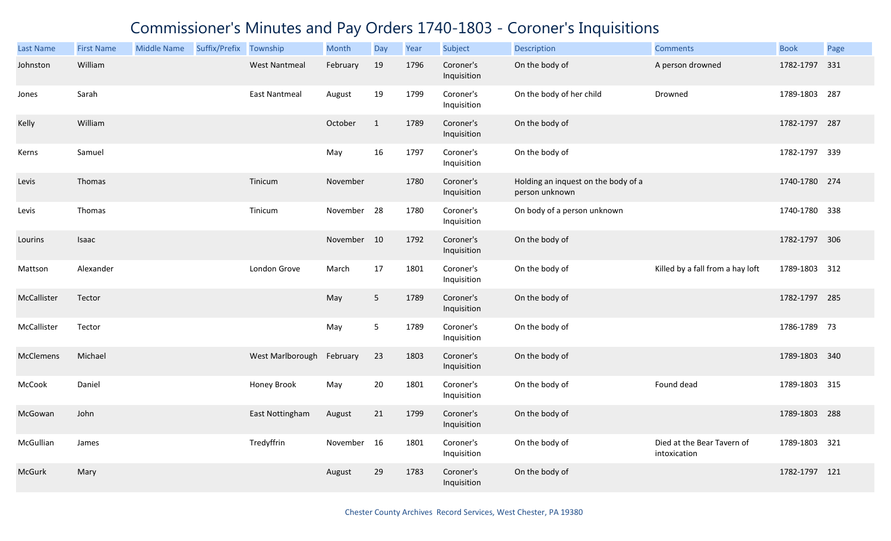| <b>Last Name</b> | <b>First Name</b> | <b>Middle Name</b> | Suffix/Prefix Township |                      | Month       | Day          | Year | Subject                  | <b>Description</b>                                    | <b>Comments</b>                            | <b>Book</b>   | Page |
|------------------|-------------------|--------------------|------------------------|----------------------|-------------|--------------|------|--------------------------|-------------------------------------------------------|--------------------------------------------|---------------|------|
| Johnston         | William           |                    |                        | <b>West Nantmeal</b> | February    | 19           | 1796 | Coroner's<br>Inquisition | On the body of                                        | A person drowned                           | 1782-1797     | 331  |
| Jones            | Sarah             |                    |                        | <b>East Nantmeal</b> | August      | 19           | 1799 | Coroner's<br>Inquisition | On the body of her child                              | Drowned                                    | 1789-1803     | 287  |
| Kelly            | William           |                    |                        |                      | October     | $\mathbf{1}$ | 1789 | Coroner's<br>Inquisition | On the body of                                        |                                            | 1782-1797 287 |      |
| Kerns            | Samuel            |                    |                        |                      | May         | 16           | 1797 | Coroner's<br>Inquisition | On the body of                                        |                                            | 1782-1797 339 |      |
| Levis            | Thomas            |                    |                        | Tinicum              | November    |              | 1780 | Coroner's<br>Inquisition | Holding an inquest on the body of a<br>person unknown |                                            | 1740-1780 274 |      |
| Levis            | Thomas            |                    |                        | Tinicum              | November 28 |              | 1780 | Coroner's<br>Inquisition | On body of a person unknown                           |                                            | 1740-1780 338 |      |
| Lourins          | Isaac             |                    |                        |                      | November 10 |              | 1792 | Coroner's<br>Inquisition | On the body of                                        |                                            | 1782-1797 306 |      |
| Mattson          | Alexander         |                    |                        | London Grove         | March       | 17           | 1801 | Coroner's<br>Inquisition | On the body of                                        | Killed by a fall from a hay loft           | 1789-1803 312 |      |
| McCallister      | Tector            |                    |                        |                      | May         | 5            | 1789 | Coroner's<br>Inquisition | On the body of                                        |                                            | 1782-1797 285 |      |
| McCallister      | Tector            |                    |                        |                      | May         | 5            | 1789 | Coroner's<br>Inquisition | On the body of                                        |                                            | 1786-1789 73  |      |
| <b>McClemens</b> | Michael           |                    |                        | West Marlborough     | February    | 23           | 1803 | Coroner's<br>Inquisition | On the body of                                        |                                            | 1789-1803 340 |      |
| McCook           | Daniel            |                    |                        | Honey Brook          | May         | 20           | 1801 | Coroner's<br>Inquisition | On the body of                                        | Found dead                                 | 1789-1803 315 |      |
| McGowan          | John              |                    |                        | East Nottingham      | August      | 21           | 1799 | Coroner's<br>Inquisition | On the body of                                        |                                            | 1789-1803     | 288  |
| McGullian        | James             |                    |                        | Tredyffrin           | November    | 16           | 1801 | Coroner's<br>Inquisition | On the body of                                        | Died at the Bear Tavern of<br>intoxication | 1789-1803 321 |      |
| <b>McGurk</b>    | Mary              |                    |                        |                      | August      | 29           | 1783 | Coroner's<br>Inquisition | On the body of                                        |                                            | 1782-1797 121 |      |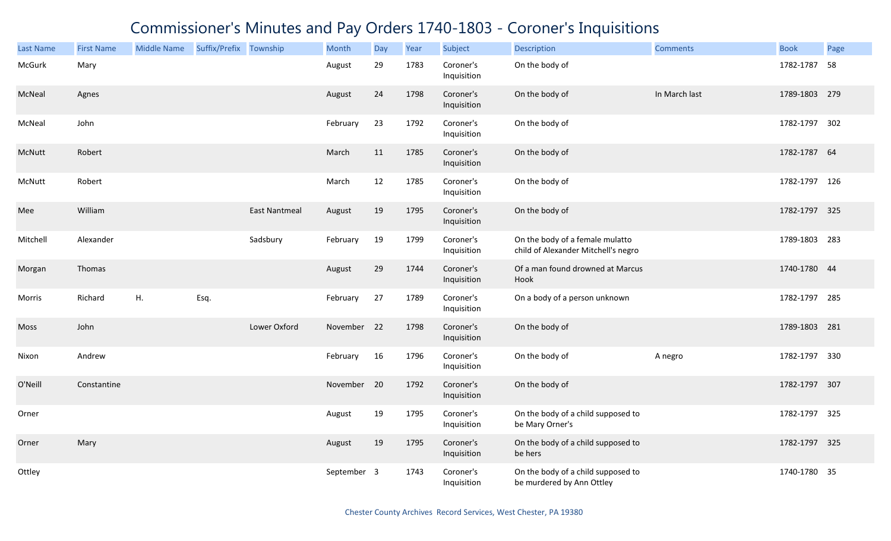| <b>Last Name</b> | <b>First Name</b> | <b>Middle Name</b> | Suffix/Prefix Township |                      | Month       | Day | Year | Subject                  | <b>Description</b>                                                     | <b>Comments</b> | <b>Book</b>   | Page |
|------------------|-------------------|--------------------|------------------------|----------------------|-------------|-----|------|--------------------------|------------------------------------------------------------------------|-----------------|---------------|------|
| McGurk           | Mary              |                    |                        |                      | August      | 29  | 1783 | Coroner's<br>Inquisition | On the body of                                                         |                 | 1782-1787     | 58   |
| McNeal           | Agnes             |                    |                        |                      | August      | 24  | 1798 | Coroner's<br>Inquisition | On the body of                                                         | In March last   | 1789-1803 279 |      |
| McNeal           | John              |                    |                        |                      | February    | 23  | 1792 | Coroner's<br>Inquisition | On the body of                                                         |                 | 1782-1797 302 |      |
| McNutt           | Robert            |                    |                        |                      | March       | 11  | 1785 | Coroner's<br>Inquisition | On the body of                                                         |                 | 1782-1787 64  |      |
| McNutt           | Robert            |                    |                        |                      | March       | 12  | 1785 | Coroner's<br>Inquisition | On the body of                                                         |                 | 1782-1797 126 |      |
| Mee              | William           |                    |                        | <b>East Nantmeal</b> | August      | 19  | 1795 | Coroner's<br>Inquisition | On the body of                                                         |                 | 1782-1797 325 |      |
| Mitchell         | Alexander         |                    |                        | Sadsbury             | February    | 19  | 1799 | Coroner's<br>Inquisition | On the body of a female mulatto<br>child of Alexander Mitchell's negro |                 | 1789-1803 283 |      |
| Morgan           | Thomas            |                    |                        |                      | August      | 29  | 1744 | Coroner's<br>Inquisition | Of a man found drowned at Marcus<br>Hook                               |                 | 1740-1780 44  |      |
| Morris           | Richard           | H.                 | Esq.                   |                      | February    | 27  | 1789 | Coroner's<br>Inquisition | On a body of a person unknown                                          |                 | 1782-1797 285 |      |
| Moss             | John              |                    |                        | Lower Oxford         | November 22 |     | 1798 | Coroner's<br>Inquisition | On the body of                                                         |                 | 1789-1803 281 |      |
| Nixon            | Andrew            |                    |                        |                      | February    | 16  | 1796 | Coroner's<br>Inquisition | On the body of                                                         | A negro         | 1782-1797 330 |      |
| O'Neill          | Constantine       |                    |                        |                      | November 20 |     | 1792 | Coroner's<br>Inquisition | On the body of                                                         |                 | 1782-1797 307 |      |
| Orner            |                   |                    |                        |                      | August      | 19  | 1795 | Coroner's<br>Inquisition | On the body of a child supposed to<br>be Mary Orner's                  |                 | 1782-1797 325 |      |
| Orner            | Mary              |                    |                        |                      | August      | 19  | 1795 | Coroner's<br>Inquisition | On the body of a child supposed to<br>be hers                          |                 | 1782-1797 325 |      |
| Ottley           |                   |                    |                        |                      | September 3 |     | 1743 | Coroner's<br>Inquisition | On the body of a child supposed to<br>be murdered by Ann Ottley        |                 | 1740-1780 35  |      |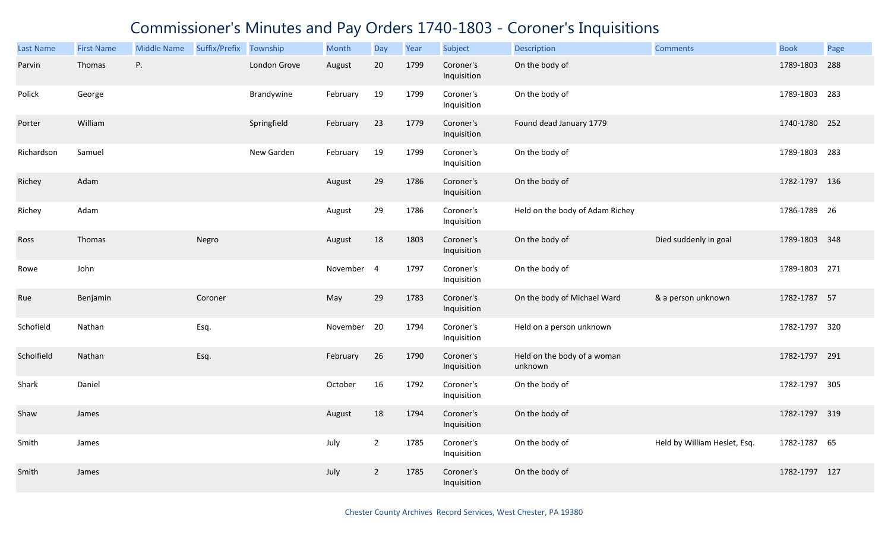| <b>Last Name</b> | <b>First Name</b> | <b>Middle Name</b> | Suffix/Prefix Township |              | Month       | Day            | Year | Subject                  | <b>Description</b>                     | <b>Comments</b>              | <b>Book</b>   | Page |
|------------------|-------------------|--------------------|------------------------|--------------|-------------|----------------|------|--------------------------|----------------------------------------|------------------------------|---------------|------|
| Parvin           | Thomas            | Ρ.                 |                        | London Grove | August      | 20             | 1799 | Coroner's<br>Inquisition | On the body of                         |                              | 1789-1803     | 288  |
| Polick           | George            |                    |                        | Brandywine   | February    | 19             | 1799 | Coroner's<br>Inquisition | On the body of                         |                              | 1789-1803     | 283  |
| Porter           | William           |                    |                        | Springfield  | February    | 23             | 1779 | Coroner's<br>Inquisition | Found dead January 1779                |                              | 1740-1780 252 |      |
| Richardson       | Samuel            |                    |                        | New Garden   | February    | 19             | 1799 | Coroner's<br>Inquisition | On the body of                         |                              | 1789-1803 283 |      |
| Richey           | Adam              |                    |                        |              | August      | 29             | 1786 | Coroner's<br>Inquisition | On the body of                         |                              | 1782-1797 136 |      |
| Richey           | Adam              |                    |                        |              | August      | 29             | 1786 | Coroner's<br>Inquisition | Held on the body of Adam Richey        |                              | 1786-1789 26  |      |
| Ross             | Thomas            |                    | Negro                  |              | August      | 18             | 1803 | Coroner's<br>Inquisition | On the body of                         | Died suddenly in goal        | 1789-1803 348 |      |
| Rowe             | John              |                    |                        |              | November 4  |                | 1797 | Coroner's<br>Inquisition | On the body of                         |                              | 1789-1803 271 |      |
| Rue              | Benjamin          |                    | Coroner                |              | May         | 29             | 1783 | Coroner's<br>Inquisition | On the body of Michael Ward            | & a person unknown           | 1782-1787 57  |      |
| Schofield        | Nathan            |                    | Esq.                   |              | November 20 |                | 1794 | Coroner's<br>Inquisition | Held on a person unknown               |                              | 1782-1797 320 |      |
| Scholfield       | Nathan            |                    | Esq.                   |              | February    | 26             | 1790 | Coroner's<br>Inquisition | Held on the body of a woman<br>unknown |                              | 1782-1797 291 |      |
| Shark            | Daniel            |                    |                        |              | October     | 16             | 1792 | Coroner's<br>Inquisition | On the body of                         |                              | 1782-1797 305 |      |
| Shaw             | James             |                    |                        |              | August      | 18             | 1794 | Coroner's<br>Inquisition | On the body of                         |                              | 1782-1797 319 |      |
| Smith            | James             |                    |                        |              | July        | $\overline{2}$ | 1785 | Coroner's<br>Inquisition | On the body of                         | Held by William Heslet, Esq. | 1782-1787 65  |      |
| Smith            | James             |                    |                        |              | July        | $\overline{2}$ | 1785 | Coroner's<br>Inquisition | On the body of                         |                              | 1782-1797 127 |      |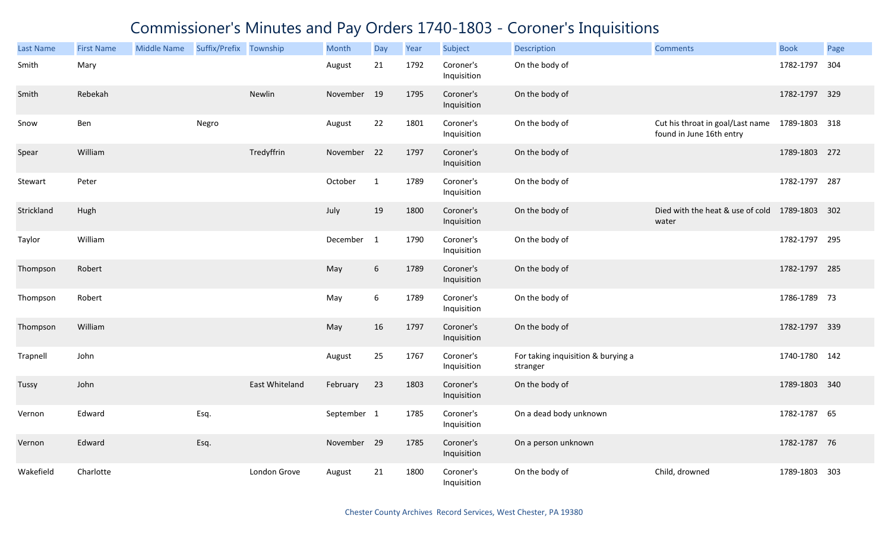| <b>Last Name</b> | <b>First Name</b> | <b>Middle Name</b> | Suffix/Prefix Township |                | Month       | Day          | Year | Subject                  | <b>Description</b>                             | <b>Comments</b>                                              | <b>Book</b>   | Page |
|------------------|-------------------|--------------------|------------------------|----------------|-------------|--------------|------|--------------------------|------------------------------------------------|--------------------------------------------------------------|---------------|------|
| Smith            | Mary              |                    |                        |                | August      | 21           | 1792 | Coroner's<br>Inquisition | On the body of                                 |                                                              | 1782-1797     | 304  |
| Smith            | Rebekah           |                    |                        | Newlin         | November 19 |              | 1795 | Coroner's<br>Inquisition | On the body of                                 |                                                              | 1782-1797 329 |      |
| Snow             | Ben               |                    | Negro                  |                | August      | 22           | 1801 | Coroner's<br>Inquisition | On the body of                                 | Cut his throat in goal/Last name<br>found in June 16th entry | 1789-1803 318 |      |
| Spear            | William           |                    |                        | Tredyffrin     | November 22 |              | 1797 | Coroner's<br>Inquisition | On the body of                                 |                                                              | 1789-1803 272 |      |
| Stewart          | Peter             |                    |                        |                | October     | $\mathbf{1}$ | 1789 | Coroner's<br>Inquisition | On the body of                                 |                                                              | 1782-1797 287 |      |
| Strickland       | Hugh              |                    |                        |                | July        | 19           | 1800 | Coroner's<br>Inquisition | On the body of                                 | Died with the heat & use of cold 1789-1803 302<br>water      |               |      |
| Taylor           | William           |                    |                        |                | December 1  |              | 1790 | Coroner's<br>Inquisition | On the body of                                 |                                                              | 1782-1797 295 |      |
| Thompson         | Robert            |                    |                        |                | May         | 6            | 1789 | Coroner's<br>Inquisition | On the body of                                 |                                                              | 1782-1797 285 |      |
| Thompson         | Robert            |                    |                        |                | May         | 6            | 1789 | Coroner's<br>Inquisition | On the body of                                 |                                                              | 1786-1789 73  |      |
| Thompson         | William           |                    |                        |                | May         | 16           | 1797 | Coroner's<br>Inquisition | On the body of                                 |                                                              | 1782-1797 339 |      |
| Trapnell         | John              |                    |                        |                | August      | 25           | 1767 | Coroner's<br>Inquisition | For taking inquisition & burying a<br>stranger |                                                              | 1740-1780 142 |      |
| Tussy            | John              |                    |                        | East Whiteland | February    | 23           | 1803 | Coroner's<br>Inquisition | On the body of                                 |                                                              | 1789-1803 340 |      |
| Vernon           | Edward            |                    | Esq.                   |                | September 1 |              | 1785 | Coroner's<br>Inquisition | On a dead body unknown                         |                                                              | 1782-1787 65  |      |
| Vernon           | Edward            |                    | Esq.                   |                | November 29 |              | 1785 | Coroner's<br>Inquisition | On a person unknown                            |                                                              | 1782-1787 76  |      |
| Wakefield        | Charlotte         |                    |                        | London Grove   | August      | 21           | 1800 | Coroner's<br>Inquisition | On the body of                                 | Child, drowned                                               | 1789-1803 303 |      |